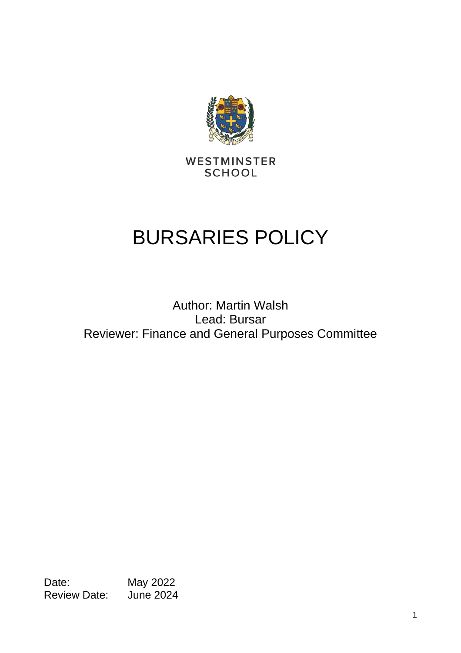

WESTMINSTER **SCHOOL** 

# BURSARIES POLICY

## Author: Martin Walsh Lead: Bursar Reviewer: Finance and General Purposes Committee

Date: May 2022<br>Review Date: June 2024 Review Date: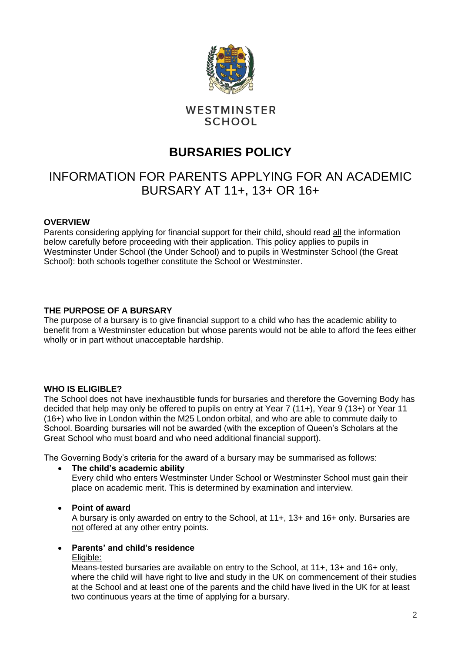

### WESTMINSTER **SCHOOL**

## **BURSARIES POLICY**

## INFORMATION FOR PARENTS APPLYING FOR AN ACADEMIC BURSARY AT 11+, 13+ OR 16+

#### **OVERVIEW**

Parents considering applying for financial support for their child, should read all the information below carefully before proceeding with their application. This policy applies to pupils in Westminster Under School (the Under School) and to pupils in Westminster School (the Great School): both schools together constitute the School or Westminster.

#### **THE PURPOSE OF A BURSARY**

The purpose of a bursary is to give financial support to a child who has the academic ability to benefit from a Westminster education but whose parents would not be able to afford the fees either wholly or in part without unacceptable hardship.

#### **WHO IS ELIGIBLE?**

The School does not have inexhaustible funds for bursaries and therefore the Governing Body has decided that help may only be offered to pupils on entry at Year 7 (11+), Year 9 (13+) or Year 11 (16+) who live in London within the M25 London orbital, and who are able to commute daily to School. Boarding bursaries will not be awarded (with the exception of Queen's Scholars at the Great School who must board and who need additional financial support).

The Governing Body's criteria for the award of a bursary may be summarised as follows:

• **The child's academic ability** 

Every child who enters Westminster Under School or Westminster School must gain their place on academic merit. This is determined by examination and interview.

#### • **Point of award**

A bursary is only awarded on entry to the School, at 11+, 13+ and 16+ only. Bursaries are not offered at any other entry points.

#### • **Parents' and child's residence**

#### Eligible:

Means-tested bursaries are available on entry to the School, at 11+, 13+ and 16+ only, where the child will have right to live and study in the UK on commencement of their studies at the School and at least one of the parents and the child have lived in the UK for at least two continuous years at the time of applying for a bursary.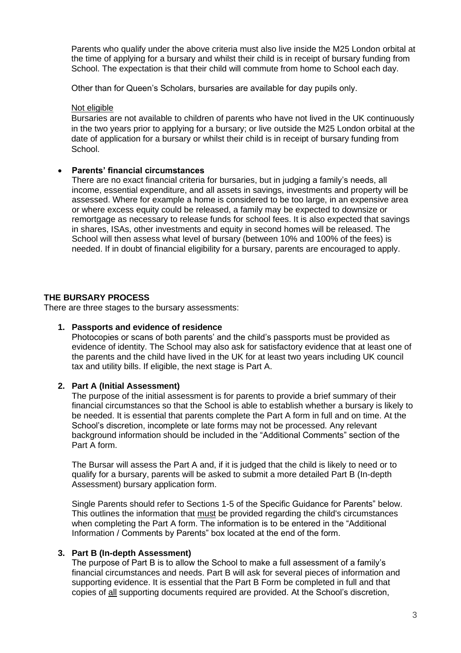Parents who qualify under the above criteria must also live inside the M25 London orbital at the time of applying for a bursary and whilst their child is in receipt of bursary funding from School. The expectation is that their child will commute from home to School each day.

Other than for Queen's Scholars, bursaries are available for day pupils only.

#### Not eligible

Bursaries are not available to children of parents who have not lived in the UK continuously in the two years prior to applying for a bursary; or live outside the M25 London orbital at the date of application for a bursary or whilst their child is in receipt of bursary funding from School.

#### • **Parents' financial circumstances**

There are no exact financial criteria for bursaries, but in judging a family's needs, all income, essential expenditure, and all assets in savings, investments and property will be assessed. Where for example a home is considered to be too large, in an expensive area or where excess equity could be released, a family may be expected to downsize or remortgage as necessary to release funds for school fees. It is also expected that savings in shares, ISAs, other investments and equity in second homes will be released. The School will then assess what level of bursary (between 10% and 100% of the fees) is needed. If in doubt of financial eligibility for a bursary, parents are encouraged to apply.

#### **THE BURSARY PROCESS**

There are three stages to the bursary assessments:

#### **1. Passports and evidence of residence**

Photocopies or scans of both parents' and the child's passports must be provided as evidence of identity. The School may also ask for satisfactory evidence that at least one of the parents and the child have lived in the UK for at least two years including UK council tax and utility bills. If eligible, the next stage is Part A.

#### **2. Part A (Initial Assessment)**

The purpose of the initial assessment is for parents to provide a brief summary of their financial circumstances so that the School is able to establish whether a bursary is likely to be needed. It is essential that parents complete the Part A form in full and on time. At the School's discretion, incomplete or late forms may not be processed. Any relevant background information should be included in the "Additional Comments" section of the Part A form.

The Bursar will assess the Part A and, if it is judged that the child is likely to need or to qualify for a bursary, parents will be asked to submit a more detailed Part B (In-depth Assessment) bursary application form.

Single Parents should refer to Sections 1-5 of the Specific Guidance for Parents" below. This outlines the information that must be provided regarding the child's circumstances when completing the Part A form. The information is to be entered in the "Additional Information / Comments by Parents" box located at the end of the form.

#### **3. Part B (In-depth Assessment)**

The purpose of Part B is to allow the School to make a full assessment of a family's financial circumstances and needs. Part B will ask for several pieces of information and supporting evidence. It is essential that the Part B Form be completed in full and that copies of all supporting documents required are provided. At the School's discretion,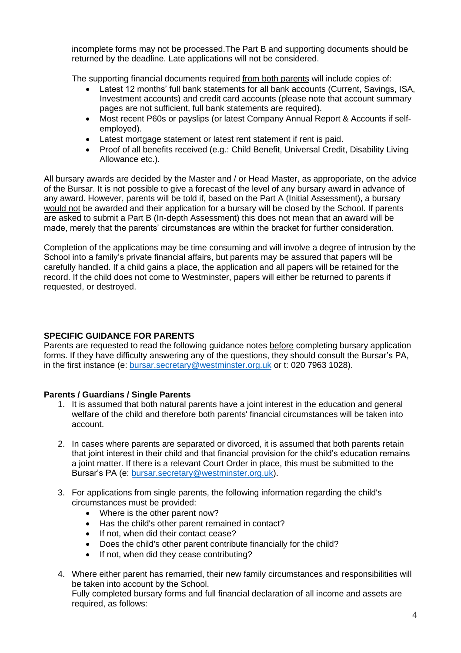incomplete forms may not be processed.The Part B and supporting documents should be returned by the deadline. Late applications will not be considered.

The supporting financial documents required from both parents will include copies of:

- Latest 12 months' full bank statements for all bank accounts (Current, Savings, ISA, Investment accounts) and credit card accounts (please note that account summary pages are not sufficient, full bank statements are required).
- Most recent P60s or payslips (or latest Company Annual Report & Accounts if selfemployed).
- Latest mortgage statement or latest rent statement if rent is paid.
- Proof of all benefits received (e.g.: Child Benefit, Universal Credit, Disability Living Allowance etc.).

All bursary awards are decided by the Master and / or Head Master, as approporiate, on the advice of the Bursar. It is not possible to give a forecast of the level of any bursary award in advance of any award. However, parents will be told if, based on the Part A (Initial Assessment), a bursary would not be awarded and their application for a bursary will be closed by the School. If parents are asked to submit a Part B (In-depth Assessment) this does not mean that an award will be made, merely that the parents' circumstances are within the bracket for further consideration.

Completion of the applications may be time consuming and will involve a degree of intrusion by the School into a family's private financial affairs, but parents may be assured that papers will be carefully handled. If a child gains a place, the application and all papers will be retained for the record. If the child does not come to Westminster, papers will either be returned to parents if requested, or destroyed.

#### **SPECIFIC GUIDANCE FOR PARENTS**

Parents are requested to read the following guidance notes before completing bursary application forms. If they have difficulty answering any of the questions, they should consult the Bursar's PA, in the first instance (e: [bursar.secretary@westminster.org.uk](mailto:bursar.secretary@westminster.org.uk) or t: 020 7963 1028).

#### **Parents / Guardians / Single Parents**

- 1. It is assumed that both natural parents have a joint interest in the education and general welfare of the child and therefore both parents' financial circumstances will be taken into account.
- 2. In cases where parents are separated or divorced, it is assumed that both parents retain that joint interest in their child and that financial provision for the child's education remains a joint matter. If there is a relevant Court Order in place, this must be submitted to the Bursar's PA (e: [bursar.secretary@westminster.org.uk\)](mailto:bursar.secretary@westminster.org.uk).
- 3. For applications from single parents, the following information regarding the child's circumstances must be provided:
	- Where is the other parent now?
	- Has the child's other parent remained in contact?
	- If not, when did their contact cease?
	- Does the child's other parent contribute financially for the child?
	- If not, when did they cease contributing?
- 4. Where either parent has remarried, their new family circumstances and responsibilities will be taken into account by the School. Fully completed bursary forms and full financial declaration of all income and assets are required, as follows: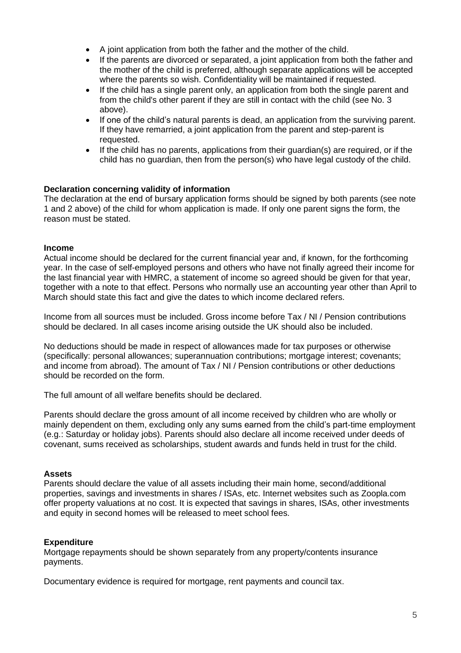- A joint application from both the father and the mother of the child.
- If the parents are divorced or separated, a joint application from both the father and the mother of the child is preferred, although separate applications will be accepted where the parents so wish. Confidentiality will be maintained if requested.
- If the child has a single parent only, an application from both the single parent and from the child's other parent if they are still in contact with the child (see No. 3 above).
- If one of the child's natural parents is dead, an application from the surviving parent. If they have remarried, a joint application from the parent and step-parent is requested.
- If the child has no parents, applications from their guardian(s) are required, or if the child has no guardian, then from the person(s) who have legal custody of the child.

#### **Declaration concerning validity of information**

The declaration at the end of bursary application forms should be signed by both parents (see note 1 and 2 above) of the child for whom application is made. If only one parent signs the form, the reason must be stated.

#### **Income**

Actual income should be declared for the current financial year and, if known, for the forthcoming year. In the case of self-employed persons and others who have not finally agreed their income for the last financial year with HMRC, a statement of income so agreed should be given for that year, together with a note to that effect. Persons who normally use an accounting year other than April to March should state this fact and give the dates to which income declared refers.

Income from all sources must be included. Gross income before Tax / NI / Pension contributions should be declared. In all cases income arising outside the UK should also be included.

No deductions should be made in respect of allowances made for tax purposes or otherwise (specifically: personal allowances; superannuation contributions; mortgage interest; covenants; and income from abroad). The amount of Tax / NI / Pension contributions or other deductions should be recorded on the form.

The full amount of all welfare benefits should be declared.

Parents should declare the gross amount of all income received by children who are wholly or mainly dependent on them, excluding only any sums earned from the child's part-time employment (e.g.: Saturday or holiday jobs). Parents should also declare all income received under deeds of covenant, sums received as scholarships, student awards and funds held in trust for the child.

#### **Assets**

Parents should declare the value of all assets including their main home, second/additional properties, savings and investments in shares / ISAs, etc. Internet websites such as Zoopla.com offer property valuations at no cost. It is expected that savings in shares, ISAs, other investments and equity in second homes will be released to meet school fees.

#### **Expenditure**

Mortgage repayments should be shown separately from any property/contents insurance payments.

Documentary evidence is required for mortgage, rent payments and council tax.